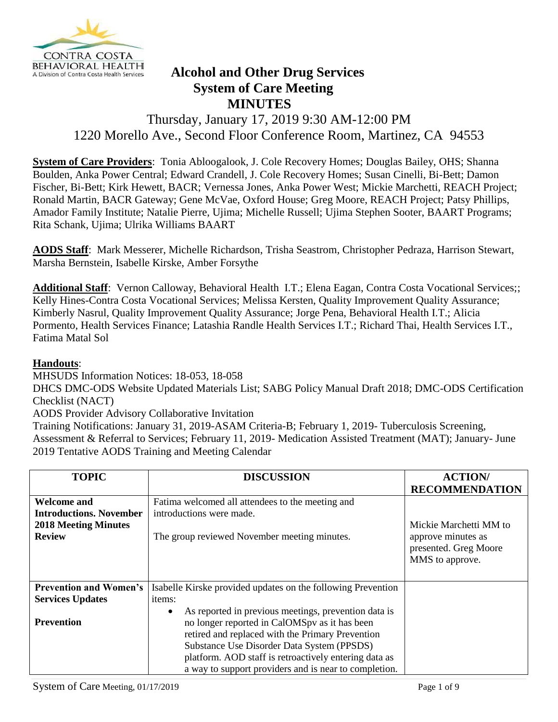

## **BEHAVIORAL HEALTH**<br>A Division of Contra Costa Health Services **Alcohol and Other Drug Services System of Care Meeting MINUTES**

## Thursday, January 17, 2019 9:30 AM-12:00 PM 1220 Morello Ave., Second Floor Conference Room, Martinez, CA 94553

**System of Care Providers**: Tonia Abloogalook, J. Cole Recovery Homes; Douglas Bailey, OHS; Shanna Boulden, Anka Power Central; Edward Crandell, J. Cole Recovery Homes; Susan Cinelli, Bi-Bett; Damon Fischer, Bi-Bett; Kirk Hewett, BACR; Vernessa Jones, Anka Power West; Mickie Marchetti, REACH Project; Ronald Martin, BACR Gateway; Gene McVae, Oxford House; Greg Moore, REACH Project; Patsy Phillips, Amador Family Institute; Natalie Pierre, Ujima; Michelle Russell; Ujima Stephen Sooter, BAART Programs; Rita Schank, Ujima; Ulrika Williams BAART

**AODS Staff**: Mark Messerer, Michelle Richardson, Trisha Seastrom, Christopher Pedraza, Harrison Stewart, Marsha Bernstein, Isabelle Kirske, Amber Forsythe

Additional Staff: Vernon Calloway, Behavioral Health I.T.; Elena Eagan, Contra Costa Vocational Services;; Kelly Hines-Contra Costa Vocational Services; Melissa Kersten, Quality Improvement Quality Assurance; Kimberly Nasrul, Quality Improvement Quality Assurance; Jorge Pena, Behavioral Health I.T.; Alicia Pormento, Health Services Finance; Latashia Randle Health Services I.T.; Richard Thai, Health Services I.T., Fatima Matal Sol

## **Handouts**:

MHSUDS Information Notices: 18-053, 18-058

DHCS DMC-ODS Website Updated Materials List; SABG Policy Manual Draft 2018; DMC-ODS Certification Checklist (NACT)

AODS Provider Advisory Collaborative Invitation

Training Notifications: January 31, 2019-ASAM Criteria-B; February 1, 2019- Tuberculosis Screening, Assessment & Referral to Services; February 11, 2019- Medication Assisted Treatment (MAT); January- June 2019 Tentative AODS Training and Meeting Calendar

| <b>TOPIC</b>                   | <b>DISCUSSION</b>                                            | <b>ACTION/</b>         |
|--------------------------------|--------------------------------------------------------------|------------------------|
|                                |                                                              | <b>RECOMMENDATION</b>  |
|                                |                                                              |                        |
| <b>Welcome and</b>             | Fatima welcomed all attendees to the meeting and             |                        |
| <b>Introductions. November</b> | introductions were made.                                     |                        |
| <b>2018 Meeting Minutes</b>    |                                                              | Mickie Marchetti MM to |
| <b>Review</b>                  | The group reviewed November meeting minutes.                 | approve minutes as     |
|                                |                                                              | presented. Greg Moore  |
|                                |                                                              | MMS to approve.        |
|                                |                                                              |                        |
|                                |                                                              |                        |
| <b>Prevention and Women's</b>  | Isabelle Kirske provided updates on the following Prevention |                        |
| <b>Services Updates</b>        | items:                                                       |                        |
|                                | As reported in previous meetings, prevention data is         |                        |
| Prevention                     | no longer reported in CalOMSpy as it has been                |                        |
|                                | retired and replaced with the Primary Prevention             |                        |
|                                | Substance Use Disorder Data System (PPSDS)                   |                        |
|                                | platform. AOD staff is retroactively entering data as        |                        |
|                                | a way to support providers and is near to completion.        |                        |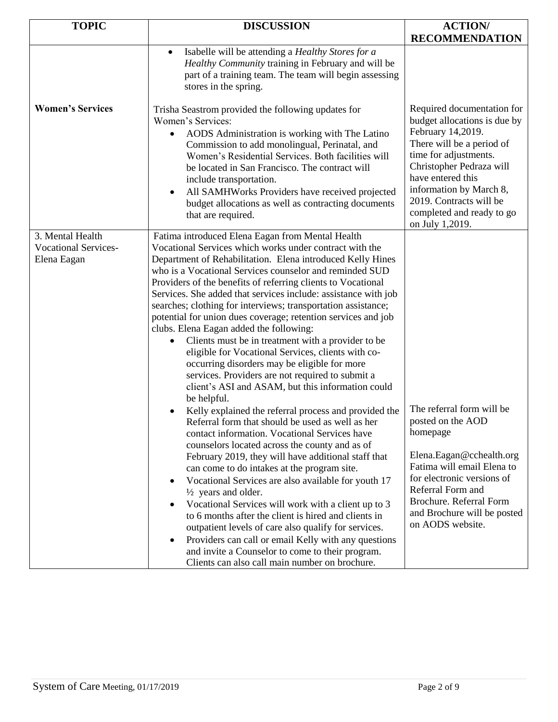| <b>TOPIC</b>                                                   | <b>DISCUSSION</b>                                                                                                                                                                                                                                                                                                                                                                                                                                                                                                                                                                                                                                                                                                                                                                                                                                                                                                                                                                                                                                                                                                                                                                                                                                                                                                                                                                                                                                                                                                                                                                                                                                            | <b>ACTION/</b>                                                                                                                                                                                                                                                                               |
|----------------------------------------------------------------|--------------------------------------------------------------------------------------------------------------------------------------------------------------------------------------------------------------------------------------------------------------------------------------------------------------------------------------------------------------------------------------------------------------------------------------------------------------------------------------------------------------------------------------------------------------------------------------------------------------------------------------------------------------------------------------------------------------------------------------------------------------------------------------------------------------------------------------------------------------------------------------------------------------------------------------------------------------------------------------------------------------------------------------------------------------------------------------------------------------------------------------------------------------------------------------------------------------------------------------------------------------------------------------------------------------------------------------------------------------------------------------------------------------------------------------------------------------------------------------------------------------------------------------------------------------------------------------------------------------------------------------------------------------|----------------------------------------------------------------------------------------------------------------------------------------------------------------------------------------------------------------------------------------------------------------------------------------------|
|                                                                |                                                                                                                                                                                                                                                                                                                                                                                                                                                                                                                                                                                                                                                                                                                                                                                                                                                                                                                                                                                                                                                                                                                                                                                                                                                                                                                                                                                                                                                                                                                                                                                                                                                              | <b>RECOMMENDATION</b>                                                                                                                                                                                                                                                                        |
|                                                                | Isabelle will be attending a Healthy Stores for a<br>$\bullet$<br>Healthy Community training in February and will be<br>part of a training team. The team will begin assessing<br>stores in the spring.                                                                                                                                                                                                                                                                                                                                                                                                                                                                                                                                                                                                                                                                                                                                                                                                                                                                                                                                                                                                                                                                                                                                                                                                                                                                                                                                                                                                                                                      |                                                                                                                                                                                                                                                                                              |
| <b>Women's Services</b>                                        | Trisha Seastrom provided the following updates for<br>Women's Services:<br>AODS Administration is working with The Latino<br>$\bullet$<br>Commission to add monolingual, Perinatal, and<br>Women's Residential Services. Both facilities will<br>be located in San Francisco. The contract will<br>include transportation.<br>All SAMHWorks Providers have received projected<br>$\bullet$<br>budget allocations as well as contracting documents<br>that are required.                                                                                                                                                                                                                                                                                                                                                                                                                                                                                                                                                                                                                                                                                                                                                                                                                                                                                                                                                                                                                                                                                                                                                                                      | Required documentation for<br>budget allocations is due by<br>February 14,2019.<br>There will be a period of<br>time for adjustments.<br>Christopher Pedraza will<br>have entered this<br>information by March 8,<br>2019. Contracts will be<br>completed and ready to go<br>on July 1,2019. |
| 3. Mental Health<br><b>Vocational Services-</b><br>Elena Eagan | Fatima introduced Elena Eagan from Mental Health<br>Vocational Services which works under contract with the<br>Department of Rehabilitation. Elena introduced Kelly Hines<br>who is a Vocational Services counselor and reminded SUD<br>Providers of the benefits of referring clients to Vocational<br>Services. She added that services include: assistance with job<br>searches; clothing for interviews; transportation assistance;<br>potential for union dues coverage; retention services and job<br>clubs. Elena Eagan added the following:<br>Clients must be in treatment with a provider to be<br>$\bullet$<br>eligible for Vocational Services, clients with co-<br>occurring disorders may be eligible for more<br>services. Providers are not required to submit a<br>client's ASI and ASAM, but this information could<br>be helpful.<br>Kelly explained the referral process and provided the<br>$\bullet$<br>Referral form that should be used as well as her<br>contact information. Vocational Services have<br>counselors located across the county and as of<br>February 2019, they will have additional staff that<br>can come to do intakes at the program site.<br>Vocational Services are also available for youth 17<br>$\bullet$<br>$\frac{1}{2}$ years and older.<br>Vocational Services will work with a client up to 3<br>$\bullet$<br>to 6 months after the client is hired and clients in<br>outpatient levels of care also qualify for services.<br>Providers can call or email Kelly with any questions<br>$\bullet$<br>and invite a Counselor to come to their program.<br>Clients can also call main number on brochure. | The referral form will be<br>posted on the AOD<br>homepage<br>Elena.Eagan@cchealth.org<br>Fatima will email Elena to<br>for electronic versions of<br>Referral Form and<br>Brochure. Referral Form<br>and Brochure will be posted<br>on AODS website.                                        |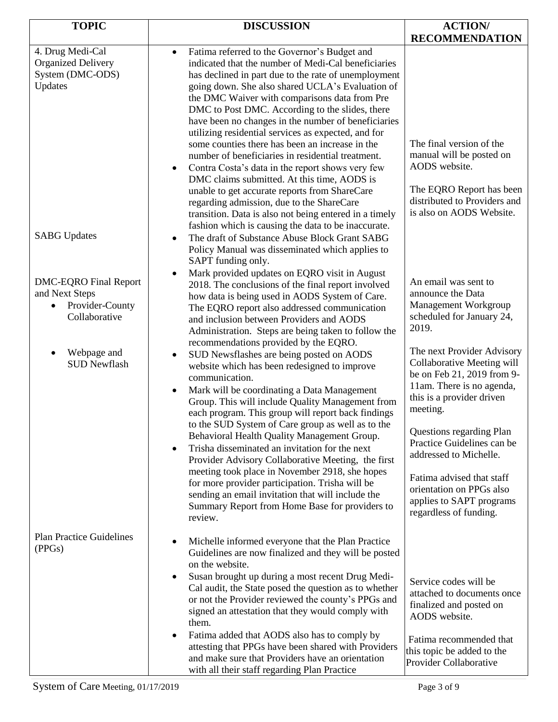| <b>TOPIC</b>                                                                                    | <b>DISCUSSION</b>                                                                                                                                                                                                                                                                                                                                                                                                                                                                                                                                                                                                                                                                                                                                                                                                              | <b>ACTION/</b>                                                                                                                                                                                                                                                                                                                                                  |
|-------------------------------------------------------------------------------------------------|--------------------------------------------------------------------------------------------------------------------------------------------------------------------------------------------------------------------------------------------------------------------------------------------------------------------------------------------------------------------------------------------------------------------------------------------------------------------------------------------------------------------------------------------------------------------------------------------------------------------------------------------------------------------------------------------------------------------------------------------------------------------------------------------------------------------------------|-----------------------------------------------------------------------------------------------------------------------------------------------------------------------------------------------------------------------------------------------------------------------------------------------------------------------------------------------------------------|
|                                                                                                 |                                                                                                                                                                                                                                                                                                                                                                                                                                                                                                                                                                                                                                                                                                                                                                                                                                | <b>RECOMMENDATION</b>                                                                                                                                                                                                                                                                                                                                           |
| 4. Drug Medi-Cal<br><b>Organized Delivery</b><br>System (DMC-ODS)<br>Updates                    | Fatima referred to the Governor's Budget and<br>$\bullet$<br>indicated that the number of Medi-Cal beneficiaries<br>has declined in part due to the rate of unemployment<br>going down. She also shared UCLA's Evaluation of<br>the DMC Waiver with comparisons data from Pre<br>DMC to Post DMC. According to the slides, there<br>have been no changes in the number of beneficiaries<br>utilizing residential services as expected, and for<br>some counties there has been an increase in the<br>number of beneficiaries in residential treatment.<br>Contra Costa's data in the report shows very few<br>$\bullet$<br>DMC claims submitted. At this time, AODS is<br>unable to get accurate reports from ShareCare<br>regarding admission, due to the ShareCare<br>transition. Data is also not being entered in a timely | The final version of the<br>manual will be posted on<br>AODS website.<br>The EQRO Report has been<br>distributed to Providers and<br>is also on AODS Website.                                                                                                                                                                                                   |
| <b>SABG Updates</b>                                                                             | fashion which is causing the data to be inaccurate.<br>The draft of Substance Abuse Block Grant SABG<br>$\bullet$<br>Policy Manual was disseminated which applies to<br>SAPT funding only.                                                                                                                                                                                                                                                                                                                                                                                                                                                                                                                                                                                                                                     |                                                                                                                                                                                                                                                                                                                                                                 |
| <b>DMC-EQRO Final Report</b><br>and Next Steps<br>Provider-County<br>$\bullet$<br>Collaborative | Mark provided updates on EQRO visit in August<br>2018. The conclusions of the final report involved<br>how data is being used in AODS System of Care.<br>The EQRO report also addressed communication<br>and inclusion between Providers and AODS<br>Administration. Steps are being taken to follow the<br>recommendations provided by the EQRO.                                                                                                                                                                                                                                                                                                                                                                                                                                                                              | An email was sent to<br>announce the Data<br>Management Workgroup<br>scheduled for January 24,<br>2019.                                                                                                                                                                                                                                                         |
| Webpage and<br><b>SUD Newflash</b>                                                              | SUD Newsflashes are being posted on AODS<br>website which has been redesigned to improve<br>communication.<br>Mark will be coordinating a Data Management<br>$\bullet$<br>Group. This will include Quality Management from<br>each program. This group will report back findings<br>to the SUD System of Care group as well as to the<br>Behavioral Health Quality Management Group.<br>Trisha disseminated an invitation for the next<br>Provider Advisory Collaborative Meeting, the first<br>meeting took place in November 2918, she hopes<br>for more provider participation. Trisha will be<br>sending an email invitation that will include the<br>Summary Report from Home Base for providers to<br>review.                                                                                                            | The next Provider Advisory<br>Collaborative Meeting will<br>be on Feb 21, 2019 from 9-<br>11am. There is no agenda,<br>this is a provider driven<br>meeting.<br>Questions regarding Plan<br>Practice Guidelines can be<br>addressed to Michelle.<br>Fatima advised that staff<br>orientation on PPGs also<br>applies to SAPT programs<br>regardless of funding. |
| <b>Plan Practice Guidelines</b><br>(PPGs)                                                       | Michelle informed everyone that the Plan Practice<br>Guidelines are now finalized and they will be posted<br>on the website.<br>Susan brought up during a most recent Drug Medi-<br>$\bullet$<br>Cal audit, the State posed the question as to whether<br>or not the Provider reviewed the county's PPGs and<br>signed an attestation that they would comply with                                                                                                                                                                                                                                                                                                                                                                                                                                                              | Service codes will be<br>attached to documents once<br>finalized and posted on<br>AODS website.                                                                                                                                                                                                                                                                 |
|                                                                                                 | them.<br>Fatima added that AODS also has to comply by<br>attesting that PPGs have been shared with Providers<br>and make sure that Providers have an orientation<br>with all their staff regarding Plan Practice                                                                                                                                                                                                                                                                                                                                                                                                                                                                                                                                                                                                               | Fatima recommended that<br>this topic be added to the<br>Provider Collaborative                                                                                                                                                                                                                                                                                 |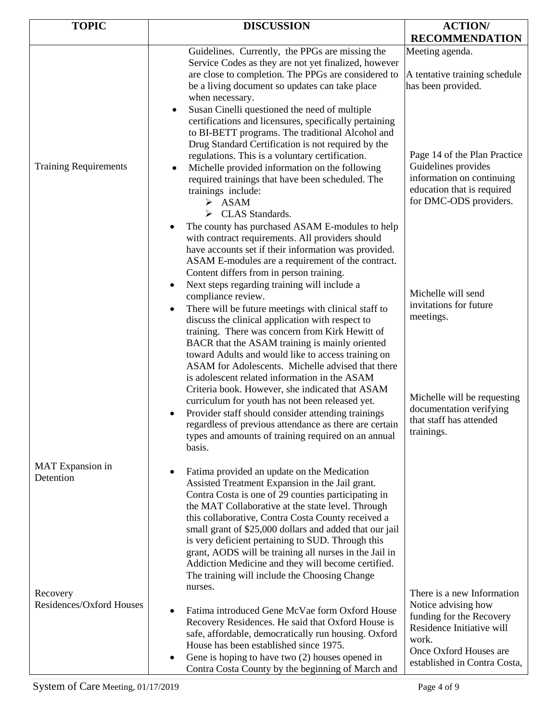| <b>TOPIC</b>                         | <b>DISCUSSION</b>                                                                                                                                                                                                                                                                                                                                                                                                                                                                                                                                                                                                                                                                                                                                                                                    | <b>ACTION/</b>                                                                                                                                                                |
|--------------------------------------|------------------------------------------------------------------------------------------------------------------------------------------------------------------------------------------------------------------------------------------------------------------------------------------------------------------------------------------------------------------------------------------------------------------------------------------------------------------------------------------------------------------------------------------------------------------------------------------------------------------------------------------------------------------------------------------------------------------------------------------------------------------------------------------------------|-------------------------------------------------------------------------------------------------------------------------------------------------------------------------------|
|                                      |                                                                                                                                                                                                                                                                                                                                                                                                                                                                                                                                                                                                                                                                                                                                                                                                      | <b>RECOMMENDATION</b>                                                                                                                                                         |
|                                      | Guidelines. Currently, the PPGs are missing the<br>Service Codes as they are not yet finalized, however<br>are close to completion. The PPGs are considered to<br>be a living document so updates can take place<br>when necessary.                                                                                                                                                                                                                                                                                                                                                                                                                                                                                                                                                                  | Meeting agenda.<br>A tentative training schedule<br>has been provided.                                                                                                        |
| <b>Training Requirements</b>         | Susan Cinelli questioned the need of multiple<br>$\bullet$<br>certifications and licensures, specifically pertaining<br>to BI-BETT programs. The traditional Alcohol and<br>Drug Standard Certification is not required by the<br>regulations. This is a voluntary certification.<br>Michelle provided information on the following<br>required trainings that have been scheduled. The<br>trainings include:<br>$\triangleright$ ASAM<br>CLAS Standards.<br>➤<br>The county has purchased ASAM E-modules to help<br>$\bullet$<br>with contract requirements. All providers should<br>have accounts set if their information was provided.<br>ASAM E-modules are a requirement of the contract.                                                                                                      | Page 14 of the Plan Practice<br>Guidelines provides<br>information on continuing<br>education that is required<br>for DMC-ODS providers.                                      |
|                                      | Content differs from in person training.<br>Next steps regarding training will include a<br>٠<br>compliance review.<br>There will be future meetings with clinical staff to<br>$\bullet$<br>discuss the clinical application with respect to<br>training. There was concern from Kirk Hewitt of<br>BACR that the ASAM training is mainly oriented<br>toward Adults and would like to access training on<br>ASAM for Adolescents. Michelle advised that there<br>is adolescent related information in the ASAM<br>Criteria book. However, she indicated that ASAM<br>curriculum for youth has not been released yet.<br>Provider staff should consider attending trainings<br>regardless of previous attendance as there are certain<br>types and amounts of training required on an annual<br>basis. | Michelle will send<br>invitations for future<br>meetings.<br>Michelle will be requesting<br>documentation verifying<br>that staff has attended<br>trainings.                  |
| MAT Expansion in<br>Detention        | Fatima provided an update on the Medication<br>$\bullet$<br>Assisted Treatment Expansion in the Jail grant.<br>Contra Costa is one of 29 counties participating in<br>the MAT Collaborative at the state level. Through<br>this collaborative, Contra Costa County received a<br>small grant of \$25,000 dollars and added that our jail<br>is very deficient pertaining to SUD. Through this<br>grant, AODS will be training all nurses in the Jail in<br>Addiction Medicine and they will become certified.<br>The training will include the Choosing Change                                                                                                                                                                                                                                       |                                                                                                                                                                               |
| Recovery<br>Residences/Oxford Houses | nurses.<br>Fatima introduced Gene McVae form Oxford House<br>$\bullet$<br>Recovery Residences. He said that Oxford House is<br>safe, affordable, democratically run housing. Oxford<br>House has been established since 1975.<br>Gene is hoping to have two (2) houses opened in<br>$\bullet$<br>Contra Costa County by the beginning of March and                                                                                                                                                                                                                                                                                                                                                                                                                                                   | There is a new Information<br>Notice advising how<br>funding for the Recovery<br>Residence Initiative will<br>work.<br>Once Oxford Houses are<br>established in Contra Costa, |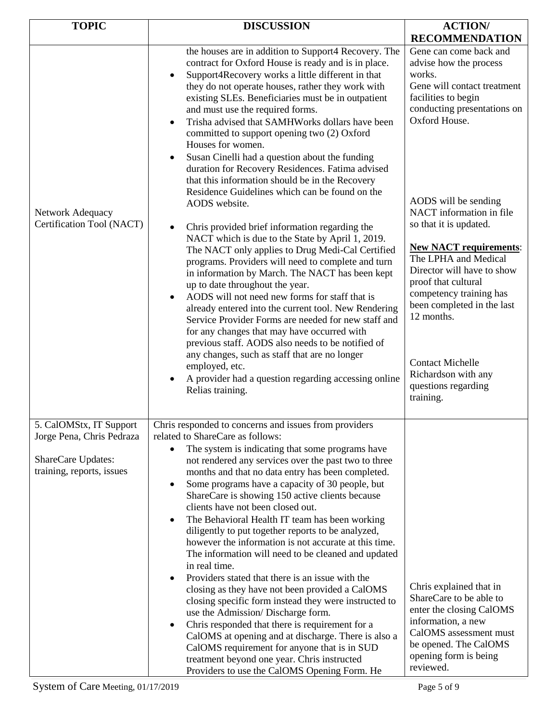| <b>TOPIC</b>                                                                 | <b>DISCUSSION</b>                                                                                                                                                                                                                                                                                                                                                                                                                                                                                                                                                                                                                                                                                                                                                                                                                                                                                                                                                                                                                                                                                                                                                                                                                                                                                                                                                                                                                                                          | <b>ACTION/</b>                                                                                                                                                                                                                                                                                                                                                                                                                                                                                                            |
|------------------------------------------------------------------------------|----------------------------------------------------------------------------------------------------------------------------------------------------------------------------------------------------------------------------------------------------------------------------------------------------------------------------------------------------------------------------------------------------------------------------------------------------------------------------------------------------------------------------------------------------------------------------------------------------------------------------------------------------------------------------------------------------------------------------------------------------------------------------------------------------------------------------------------------------------------------------------------------------------------------------------------------------------------------------------------------------------------------------------------------------------------------------------------------------------------------------------------------------------------------------------------------------------------------------------------------------------------------------------------------------------------------------------------------------------------------------------------------------------------------------------------------------------------------------|---------------------------------------------------------------------------------------------------------------------------------------------------------------------------------------------------------------------------------------------------------------------------------------------------------------------------------------------------------------------------------------------------------------------------------------------------------------------------------------------------------------------------|
|                                                                              |                                                                                                                                                                                                                                                                                                                                                                                                                                                                                                                                                                                                                                                                                                                                                                                                                                                                                                                                                                                                                                                                                                                                                                                                                                                                                                                                                                                                                                                                            | <b>RECOMMENDATION</b>                                                                                                                                                                                                                                                                                                                                                                                                                                                                                                     |
| Network Adequacy<br>Certification Tool (NACT)                                | the houses are in addition to Support4 Recovery. The<br>contract for Oxford House is ready and is in place.<br>Support4Recovery works a little different in that<br>$\bullet$<br>they do not operate houses, rather they work with<br>existing SLEs. Beneficiaries must be in outpatient<br>and must use the required forms.<br>Trisha advised that SAMHWorks dollars have been<br>$\bullet$<br>committed to support opening two (2) Oxford<br>Houses for women.<br>Susan Cinelli had a question about the funding<br>$\bullet$<br>duration for Recovery Residences. Fatima advised<br>that this information should be in the Recovery<br>Residence Guidelines which can be found on the<br>AODS website.<br>Chris provided brief information regarding the<br>$\bullet$<br>NACT which is due to the State by April 1, 2019.<br>The NACT only applies to Drug Medi-Cal Certified<br>programs. Providers will need to complete and turn<br>in information by March. The NACT has been kept<br>up to date throughout the year.<br>AODS will not need new forms for staff that is<br>$\bullet$<br>already entered into the current tool. New Rendering<br>Service Provider Forms are needed for new staff and<br>for any changes that may have occurred with<br>previous staff. AODS also needs to be notified of<br>any changes, such as staff that are no longer<br>employed, etc.<br>A provider had a question regarding accessing online<br>$\bullet$<br>Relias training. | Gene can come back and<br>advise how the process<br>works.<br>Gene will contact treatment<br>facilities to begin<br>conducting presentations on<br>Oxford House.<br>AODS will be sending<br>NACT information in file<br>so that it is updated.<br><b>New NACT requirements:</b><br>The LPHA and Medical<br>Director will have to show<br>proof that cultural<br>competency training has<br>been completed in the last<br>12 months.<br><b>Contact Michelle</b><br>Richardson with any<br>questions regarding<br>training. |
| 5. CalOMStx, IT Support                                                      | Chris responded to concerns and issues from providers                                                                                                                                                                                                                                                                                                                                                                                                                                                                                                                                                                                                                                                                                                                                                                                                                                                                                                                                                                                                                                                                                                                                                                                                                                                                                                                                                                                                                      |                                                                                                                                                                                                                                                                                                                                                                                                                                                                                                                           |
| Jorge Pena, Chris Pedraza<br>ShareCare Updates:<br>training, reports, issues | related to ShareCare as follows:<br>The system is indicating that some programs have<br>$\bullet$<br>not rendered any services over the past two to three<br>months and that no data entry has been completed.<br>Some programs have a capacity of 30 people, but<br>$\bullet$<br>ShareCare is showing 150 active clients because<br>clients have not been closed out.<br>The Behavioral Health IT team has been working<br>$\bullet$<br>diligently to put together reports to be analyzed,<br>however the information is not accurate at this time.<br>The information will need to be cleaned and updated<br>in real time.<br>Providers stated that there is an issue with the<br>$\bullet$<br>closing as they have not been provided a CalOMS<br>closing specific form instead they were instructed to<br>use the Admission/Discharge form.<br>Chris responded that there is requirement for a<br>$\bullet$<br>CalOMS at opening and at discharge. There is also a<br>CalOMS requirement for anyone that is in SUD<br>treatment beyond one year. Chris instructed<br>Providers to use the CalOMS Opening Form. He                                                                                                                                                                                                                                                                                                                                                       | Chris explained that in<br>ShareCare to be able to<br>enter the closing CalOMS<br>information, a new<br>CalOMS assessment must<br>be opened. The CalOMS<br>opening form is being<br>reviewed.                                                                                                                                                                                                                                                                                                                             |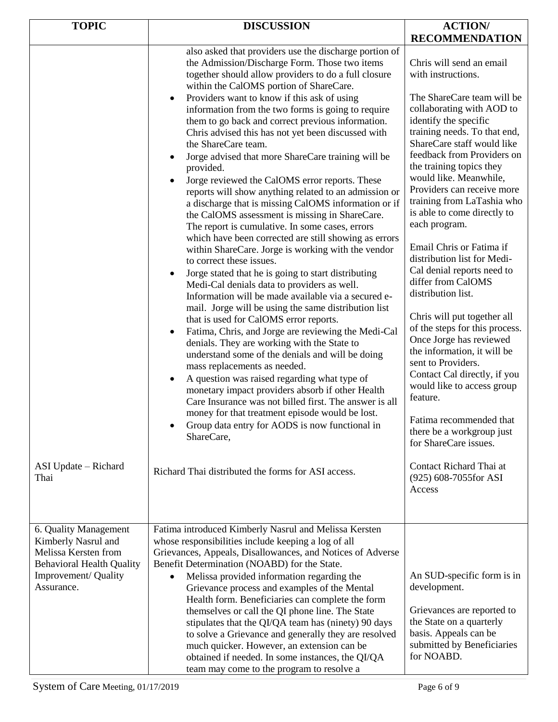| <b>TOPIC</b>                                                                                                                                   | <b>DISCUSSION</b>                                                                                                                                                                                                                                                                                                                                                                                                                                                                                                                                                                                                                                                                                                                                                                                                                                                                                                                                                                                                                                                                                                                                                                                                                                                                                                                                                                                                                                                                                                                                                                                                               | <b>ACTION/</b>                                                                                                                                                                                                                                                                                                                                                                                                                                                                                                                                                                                                                                                                                                                                                                            |
|------------------------------------------------------------------------------------------------------------------------------------------------|---------------------------------------------------------------------------------------------------------------------------------------------------------------------------------------------------------------------------------------------------------------------------------------------------------------------------------------------------------------------------------------------------------------------------------------------------------------------------------------------------------------------------------------------------------------------------------------------------------------------------------------------------------------------------------------------------------------------------------------------------------------------------------------------------------------------------------------------------------------------------------------------------------------------------------------------------------------------------------------------------------------------------------------------------------------------------------------------------------------------------------------------------------------------------------------------------------------------------------------------------------------------------------------------------------------------------------------------------------------------------------------------------------------------------------------------------------------------------------------------------------------------------------------------------------------------------------------------------------------------------------|-------------------------------------------------------------------------------------------------------------------------------------------------------------------------------------------------------------------------------------------------------------------------------------------------------------------------------------------------------------------------------------------------------------------------------------------------------------------------------------------------------------------------------------------------------------------------------------------------------------------------------------------------------------------------------------------------------------------------------------------------------------------------------------------|
|                                                                                                                                                |                                                                                                                                                                                                                                                                                                                                                                                                                                                                                                                                                                                                                                                                                                                                                                                                                                                                                                                                                                                                                                                                                                                                                                                                                                                                                                                                                                                                                                                                                                                                                                                                                                 |                                                                                                                                                                                                                                                                                                                                                                                                                                                                                                                                                                                                                                                                                                                                                                                           |
|                                                                                                                                                | also asked that providers use the discharge portion of<br>the Admission/Discharge Form. Those two items<br>together should allow providers to do a full closure<br>within the CalOMS portion of ShareCare.<br>Providers want to know if this ask of using<br>$\bullet$<br>information from the two forms is going to require<br>them to go back and correct previous information.<br>Chris advised this has not yet been discussed with<br>the ShareCare team.<br>Jorge advised that more ShareCare training will be<br>provided.<br>Jorge reviewed the CalOMS error reports. These<br>$\bullet$<br>reports will show anything related to an admission or<br>a discharge that is missing CalOMS information or if<br>the CalOMS assessment is missing in ShareCare.<br>The report is cumulative. In some cases, errors<br>which have been corrected are still showing as errors<br>within ShareCare. Jorge is working with the vendor<br>to correct these issues.<br>Jorge stated that he is going to start distributing<br>$\bullet$<br>Medi-Cal denials data to providers as well.<br>Information will be made available via a secured e-<br>mail. Jorge will be using the same distribution list<br>that is used for CalOMS error reports.<br>Fatima, Chris, and Jorge are reviewing the Medi-Cal<br>$\bullet$<br>denials. They are working with the State to<br>understand some of the denials and will be doing<br>mass replacements as needed.<br>A question was raised regarding what type of<br>$\bullet$<br>monetary impact providers absorb if other Health<br>Care Insurance was not billed first. The answer is all | <b>RECOMMENDATION</b><br>Chris will send an email<br>with instructions.<br>The ShareCare team will be<br>collaborating with AOD to<br>identify the specific<br>training needs. To that end,<br>ShareCare staff would like<br>feedback from Providers on<br>the training topics they<br>would like. Meanwhile,<br>Providers can receive more<br>training from LaTashia who<br>is able to come directly to<br>each program.<br>Email Chris or Fatima if<br>distribution list for Medi-<br>Cal denial reports need to<br>differ from CalOMS<br>distribution list.<br>Chris will put together all<br>of the steps for this process.<br>Once Jorge has reviewed<br>the information, it will be<br>sent to Providers.<br>Contact Cal directly, if you<br>would like to access group<br>feature. |
|                                                                                                                                                | money for that treatment episode would be lost.<br>Group data entry for AODS is now functional in<br>ShareCare,                                                                                                                                                                                                                                                                                                                                                                                                                                                                                                                                                                                                                                                                                                                                                                                                                                                                                                                                                                                                                                                                                                                                                                                                                                                                                                                                                                                                                                                                                                                 | Fatima recommended that<br>there be a workgroup just<br>for ShareCare issues.                                                                                                                                                                                                                                                                                                                                                                                                                                                                                                                                                                                                                                                                                                             |
| ASI Update – Richard<br>Thai                                                                                                                   | Richard Thai distributed the forms for ASI access.                                                                                                                                                                                                                                                                                                                                                                                                                                                                                                                                                                                                                                                                                                                                                                                                                                                                                                                                                                                                                                                                                                                                                                                                                                                                                                                                                                                                                                                                                                                                                                              | Contact Richard Thai at<br>(925) 608-7055for ASI<br>Access                                                                                                                                                                                                                                                                                                                                                                                                                                                                                                                                                                                                                                                                                                                                |
| 6. Quality Management<br>Kimberly Nasrul and<br>Melissa Kersten from<br><b>Behavioral Health Quality</b><br>Improvement/ Quality<br>Assurance. | Fatima introduced Kimberly Nasrul and Melissa Kersten<br>whose responsibilities include keeping a log of all<br>Grievances, Appeals, Disallowances, and Notices of Adverse<br>Benefit Determination (NOABD) for the State.<br>Melissa provided information regarding the<br>$\bullet$<br>Grievance process and examples of the Mental<br>Health form. Beneficiaries can complete the form<br>themselves or call the QI phone line. The State<br>stipulates that the QI/QA team has (ninety) 90 days<br>to solve a Grievance and generally they are resolved<br>much quicker. However, an extension can be<br>obtained if needed. In some instances, the QI/QA<br>team may come to the program to resolve a                                                                                                                                                                                                                                                                                                                                                                                                                                                                                                                                                                                                                                                                                                                                                                                                                                                                                                                      | An SUD-specific form is in<br>development.<br>Grievances are reported to<br>the State on a quarterly<br>basis. Appeals can be<br>submitted by Beneficiaries<br>for NOABD.                                                                                                                                                                                                                                                                                                                                                                                                                                                                                                                                                                                                                 |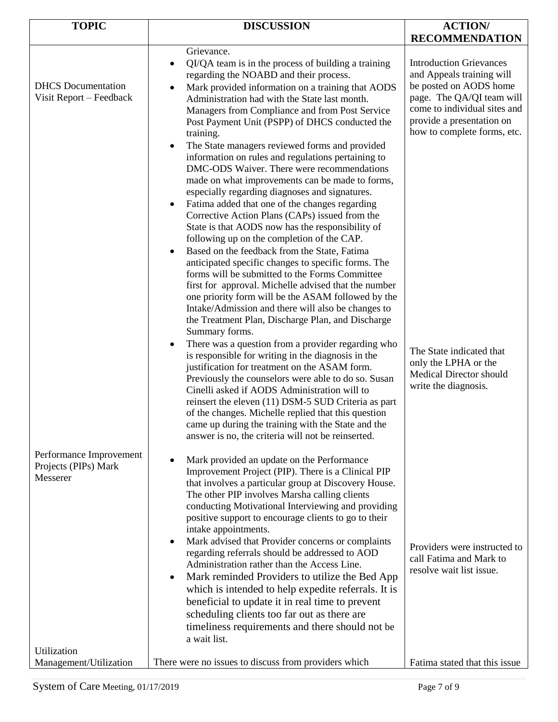| <b>TOPIC</b>                                                               | <b>DISCUSSION</b>                                                                                                                                                                                                                                                                                                                                                                                                                                                                                                                                                                                                                                                                                                                                                                                                                                                                                                                                                                                                                                                                                                                                                                                                                                                                                                                                                                                                                                                                                                                                                                           | <b>ACTION/</b>                                                                                                                                                                                                                                                                                                               |
|----------------------------------------------------------------------------|---------------------------------------------------------------------------------------------------------------------------------------------------------------------------------------------------------------------------------------------------------------------------------------------------------------------------------------------------------------------------------------------------------------------------------------------------------------------------------------------------------------------------------------------------------------------------------------------------------------------------------------------------------------------------------------------------------------------------------------------------------------------------------------------------------------------------------------------------------------------------------------------------------------------------------------------------------------------------------------------------------------------------------------------------------------------------------------------------------------------------------------------------------------------------------------------------------------------------------------------------------------------------------------------------------------------------------------------------------------------------------------------------------------------------------------------------------------------------------------------------------------------------------------------------------------------------------------------|------------------------------------------------------------------------------------------------------------------------------------------------------------------------------------------------------------------------------------------------------------------------------------------------------------------------------|
|                                                                            |                                                                                                                                                                                                                                                                                                                                                                                                                                                                                                                                                                                                                                                                                                                                                                                                                                                                                                                                                                                                                                                                                                                                                                                                                                                                                                                                                                                                                                                                                                                                                                                             | <b>RECOMMENDATION</b>                                                                                                                                                                                                                                                                                                        |
| <b>DHCS</b> Documentation<br>Visit Report - Feedback                       | Grievance.<br>QI/QA team is in the process of building a training<br>regarding the NOABD and their process.<br>Mark provided information on a training that AODS<br>٠<br>Administration had with the State last month.<br>Managers from Compliance and from Post Service<br>Post Payment Unit (PSPP) of DHCS conducted the<br>training.<br>The State managers reviewed forms and provided<br>$\bullet$<br>information on rules and regulations pertaining to<br>DMC-ODS Waiver. There were recommendations<br>made on what improvements can be made to forms,<br>especially regarding diagnoses and signatures.<br>Fatima added that one of the changes regarding<br>$\bullet$<br>Corrective Action Plans (CAPs) issued from the<br>State is that AODS now has the responsibility of<br>following up on the completion of the CAP.<br>Based on the feedback from the State, Fatima<br>$\bullet$<br>anticipated specific changes to specific forms. The<br>forms will be submitted to the Forms Committee<br>first for approval. Michelle advised that the number<br>one priority form will be the ASAM followed by the<br>Intake/Admission and there will also be changes to<br>the Treatment Plan, Discharge Plan, and Discharge<br>Summary forms.<br>There was a question from a provider regarding who<br>$\bullet$<br>is responsible for writing in the diagnosis in the<br>justification for treatment on the ASAM form.<br>Previously the counselors were able to do so. Susan<br>Cinelli asked if AODS Administration will to<br>reinsert the eleven (11) DSM-5 SUD Criteria as part | <b>Introduction Grievances</b><br>and Appeals training will<br>be posted on AODS home<br>page. The QA/QI team will<br>come to individual sites and<br>provide a presentation on<br>how to complete forms, etc.<br>The State indicated that<br>only the LPHA or the<br><b>Medical Director should</b><br>write the diagnosis. |
| Performance Improvement<br>Projects (PIPs) Mark<br>Messerer<br>Utilization | of the changes. Michelle replied that this question<br>came up during the training with the State and the<br>answer is no, the criteria will not be reinserted.<br>Mark provided an update on the Performance<br>$\bullet$<br>Improvement Project (PIP). There is a Clinical PIP<br>that involves a particular group at Discovery House.<br>The other PIP involves Marsha calling clients<br>conducting Motivational Interviewing and providing<br>positive support to encourage clients to go to their<br>intake appointments.<br>Mark advised that Provider concerns or complaints<br>$\bullet$<br>regarding referrals should be addressed to AOD<br>Administration rather than the Access Line.<br>Mark reminded Providers to utilize the Bed App<br>$\bullet$<br>which is intended to help expedite referrals. It is<br>beneficial to update it in real time to prevent<br>scheduling clients too far out as there are<br>timeliness requirements and there should not be<br>a wait list.                                                                                                                                                                                                                                                                                                                                                                                                                                                                                                                                                                                               | Providers were instructed to<br>call Fatima and Mark to<br>resolve wait list issue.                                                                                                                                                                                                                                          |
| Management/Utilization                                                     | There were no issues to discuss from providers which                                                                                                                                                                                                                                                                                                                                                                                                                                                                                                                                                                                                                                                                                                                                                                                                                                                                                                                                                                                                                                                                                                                                                                                                                                                                                                                                                                                                                                                                                                                                        | Fatima stated that this issue                                                                                                                                                                                                                                                                                                |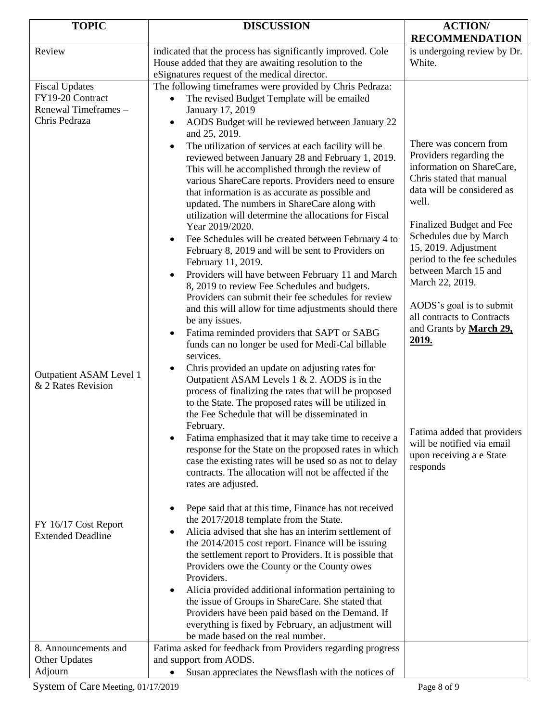| <b>TOPIC</b>                                  | <b>DISCUSSION</b>                                                                                                                                                                                                                                                                  | <b>ACTION/</b>                                                                                    |
|-----------------------------------------------|------------------------------------------------------------------------------------------------------------------------------------------------------------------------------------------------------------------------------------------------------------------------------------|---------------------------------------------------------------------------------------------------|
| Review                                        | indicated that the process has significantly improved. Cole                                                                                                                                                                                                                        | <b>RECOMMENDATION</b><br>is undergoing review by Dr.                                              |
|                                               | House added that they are awaiting resolution to the<br>eSignatures request of the medical director.                                                                                                                                                                               | White.                                                                                            |
| <b>Fiscal Updates</b>                         | The following timeframes were provided by Chris Pedraza:                                                                                                                                                                                                                           |                                                                                                   |
| FY19-20 Contract                              | The revised Budget Template will be emailed                                                                                                                                                                                                                                        |                                                                                                   |
| Renewal Timeframes -                          | January 17, 2019                                                                                                                                                                                                                                                                   |                                                                                                   |
| Chris Pedraza                                 | AODS Budget will be reviewed between January 22<br>$\bullet$<br>and 25, 2019.                                                                                                                                                                                                      |                                                                                                   |
|                                               | The utilization of services at each facility will be<br>$\bullet$<br>reviewed between January 28 and February 1, 2019.                                                                                                                                                             | There was concern from<br>Providers regarding the                                                 |
|                                               | This will be accomplished through the review of<br>various ShareCare reports. Providers need to ensure                                                                                                                                                                             | information on ShareCare,<br>Chris stated that manual<br>data will be considered as               |
|                                               | that information is as accurate as possible and<br>updated. The numbers in ShareCare along with<br>utilization will determine the allocations for Fiscal                                                                                                                           | well.                                                                                             |
|                                               | Year 2019/2020.                                                                                                                                                                                                                                                                    | Finalized Budget and Fee<br>Schedules due by March                                                |
|                                               | Fee Schedules will be created between February 4 to<br>$\bullet$<br>February 8, 2019 and will be sent to Providers on<br>February 11, 2019.                                                                                                                                        | 15, 2019. Adjustment<br>period to the fee schedules                                               |
|                                               | Providers will have between February 11 and March<br>$\bullet$<br>8, 2019 to review Fee Schedules and budgets.<br>Providers can submit their fee schedules for review                                                                                                              | between March 15 and<br>March 22, 2019.                                                           |
|                                               | and this will allow for time adjustments should there<br>be any issues.                                                                                                                                                                                                            | AODS's goal is to submit<br>all contracts to Contracts                                            |
|                                               | Fatima reminded providers that SAPT or SABG<br>$\bullet$<br>funds can no longer be used for Medi-Cal billable<br>services.                                                                                                                                                         | and Grants by March 29,<br>2019.                                                                  |
| Outpatient ASAM Level 1<br>& 2 Rates Revision | Chris provided an update on adjusting rates for<br>$\bullet$<br>Outpatient ASAM Levels $1 & 2$ . AODS is in the<br>process of finalizing the rates that will be proposed<br>to the State. The proposed rates will be utilized in<br>the Fee Schedule that will be disseminated in  |                                                                                                   |
|                                               | February.<br>Fatima emphasized that it may take time to receive a<br>$\bullet$<br>response for the State on the proposed rates in which<br>case the existing rates will be used so as not to delay<br>contracts. The allocation will not be affected if the<br>rates are adjusted. | Fatima added that providers<br>will be notified via email<br>upon receiving a e State<br>responds |
| FY 16/17 Cost Report                          | Pepe said that at this time, Finance has not received<br>$\bullet$<br>the 2017/2018 template from the State.                                                                                                                                                                       |                                                                                                   |
| <b>Extended Deadline</b>                      | Alicia advised that she has an interim settlement of<br>$\bullet$<br>the 2014/2015 cost report. Finance will be issuing<br>the settlement report to Providers. It is possible that                                                                                                 |                                                                                                   |
|                                               | Providers owe the County or the County owes<br>Providers.                                                                                                                                                                                                                          |                                                                                                   |
|                                               | Alicia provided additional information pertaining to<br>$\bullet$<br>the issue of Groups in ShareCare. She stated that<br>Providers have been paid based on the Demand. If<br>everything is fixed by February, an adjustment will                                                  |                                                                                                   |
|                                               | be made based on the real number.                                                                                                                                                                                                                                                  |                                                                                                   |
| 8. Announcements and<br>Other Updates         | Fatima asked for feedback from Providers regarding progress<br>and support from AODS.                                                                                                                                                                                              |                                                                                                   |
| Adjourn                                       | Susan appreciates the Newsflash with the notices of                                                                                                                                                                                                                                |                                                                                                   |